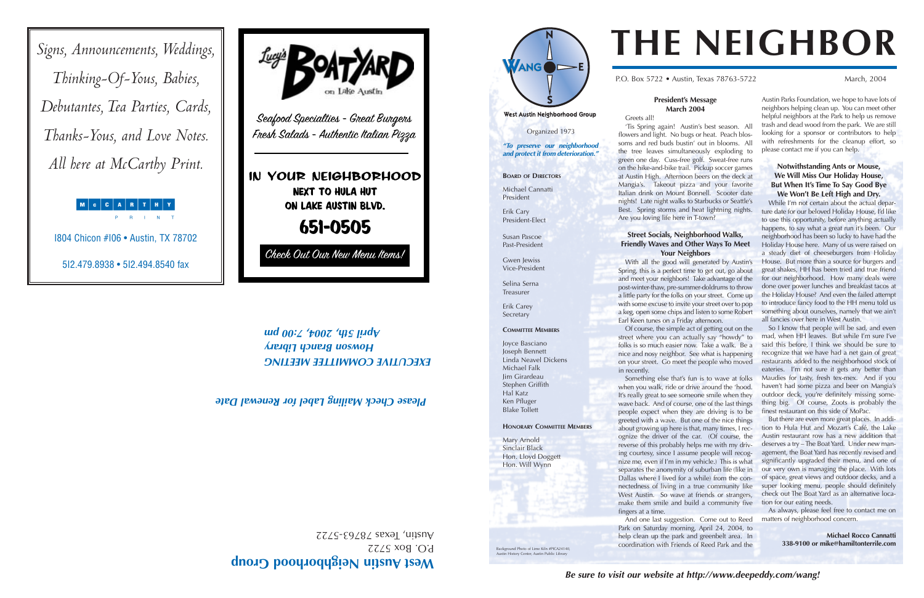#### **President's Message March 2004**

West Austin Neighborhood Group

Greets all!

P.O. Box 5722 • Austin, Texas 78763-5722 March, 2004

'Tis Spring again! Austin's best season. All flowers and light. No bugs or heat. Peach blossoms and red buds bustin' out in blooms. All the tree leaves simultaneously exploding to green one day. Cuss-free golf. Sweat-free runs on the hike-and-bike trail. Pickup soccer games at Austin High. Afternoon beers on the deck at Mangia's. Takeout pizza and your favorite Italian drink on Mount Bonnell. Scooter date nights! Late night walks to Starbucks or Seattle's Best. Spring storms and heat lightning nights. Are you loving life here in T-town?

#### **Street Socials, Neighborhood Walks, Friendly Waves and Other Ways To Meet Your Neighbors**

With all the good will generated by Austin's Spring, this is a perfect time to get out, go about and meet your neighbors! Take advantage of the post-winter-thaw, pre-summer-doldrums to throw a little party for the folks on your street. Come up with some excuse to invite your street over to pop a keg, open some chips and listen to some Robert Earl Keen tunes on a Friday afternoon.

Of course, the simple act of getting out on the street where you can actually say "howdy" to folks is so much easier now. Take a walk. Be a nice and nosy neighbor. See what is happening on your street. Go meet the people who moved

in recently.

Something else that's fun is to wave at folks when you walk, ride or drive around the 'hood. It's really great to see someone smile when they wave back. And of course, one of the last things people expect when they are driving is to be greeted with a wave. But one of the nice things about growing up here is that, many times, I recognize the driver of the car. (Of course, the reverse of this probably helps me with my driving courtesy, since I assume people will recognize me, even if I'm in my vehicle.) This is what separates the anonymity of suburban life (like in Dallas where I lived for a while) from the connectedness of living in a true community like West Austin. So wave at friends or strangers, make them smile and build a community five

fingers at a time.

And one last suggestion. Come out to Reed Park on Saturday morning, April 24, 2004, to help clean up the park and greenbelt area. In coordination with Friends of Reed Park and the

Austin Parks Foundation, we hope to have lots of neighbors helping clean up. You can meet other helpful neighbors at the Park to help us remove trash and dead wood from the park. We are still looking for a sponsor or contributors to help with refreshments for the cleanup effort, so please contact me if you can help.

#### **Notwithstanding Ants or Mouse, We Will Miss Our Holiday House, But When It's Time To Say Good Bye We Won't Be Left High and Dry.**

While I'm not certain about the actual departure date for our beloved Holiday House, I'd like to use this opportunity, before anything actually happens, to say what a great run it's been. Our neighborhood has been so lucky to have had the Holiday House here. Many of us were raised on a steady diet of cheeseburgers from Holiday House. But more than a source for burgers and great shakes, HH has been tried and true friend for our neighborhood. How many deals were done over power lunches and breakfast tacos at the Holiday House? And even the failed attempt to introduce fancy food to the HH menu told us something about ourselves, namely that we ain't all fancies over here in West Austin.

So I know that people will be sad, and even mad, when HH leaves. But while I'm sure I've said this before, I think we should be sure to recognize that we have had a net gain of great restaurants added to the neighborhood stock of eateries. I'm not sure it gets any better than Maudies for tasty, fresh tex-mex. And if you haven't had some pizza and beer on Mangia's outdoor deck, you're definitely missing something big. Of course, Zoots is probably the finest restaurant on this side of MoPac.

But there are even more great places. In addition to Hula Hut and Mozart's Café, the Lake Austin restaurant row has a new addition that deserves a try – The Boat Yard. Under new management, the Boat Yard has recently revised and significantly upgraded their menu, and one of our very own is managing the place. With lots of space, great views and outdoor decks, and a super looking menu, people should definitely check out The Boat Yard as an alternative location for our eating needs.

As always, please feel free to contact me on matters of neighborhood concern.

> **Michael Rocco Cannatti 338-9100 or mike@hamiltonterrile.com**

# **THE NEIGHBOR**

## **est Austin Neighborhood Group <sup>W</sup>**

 $BOSZZZ$  $VZZZS$ -29282 sexal 'unsny





## *EXECUTIVE COMMITTEE MEETING*

### *Howson Branch Library April 5th, 2004, 7:00 pm*

Organized 1973

*"To preserve our neighborhood and protect it from deterioration."*

**BOARD OF DIRECTORS**

Michael Cannatti President

Erik Cary President-Elect

Susan Pascoe Past-President

Gwen Jewiss Vice-President

Selina Serna Treasurer

Erik Carey Secretary

#### **COMMITTEE MEMBERS**

Joyce Basciano Joseph Bennett Linda Neavel Dickens Michael Falk Jim Girardeau Stephen Griffith Hal Katz Ken Pfluger

Blake Tollett

#### **HONORARY COMMITTEE MEMBERS**

Mary Arnold Sinclair Black Hon. Lloyd Doggett Hon. Will Wynn

History Center, Austin Public Librar

#### *Please Check Mailing Label for Renewal Date*

Background Photo of Lime Kiln #PICA24140,

*Signs, Announcements, Weddings, Thinking-Of-Yous, Babies, Debutantes, Tea Parties, Cards, Thanks-Yous, and Love Notes. All here at McCarthy Print.*

MCCARTHY

I804 Chicon #I06 • Austin, TX 78702

5I2.479.8938 • 5I2.494.8540 fax

#### IN YOUR NEIGHBORHOOD Next to Hula Hut On Lake Austin Blvd.

651-0505

Check Out Our New Menu Items!

Seafood Specialties - Great Burgers Fresh Salads - Authentic Italian Pizza